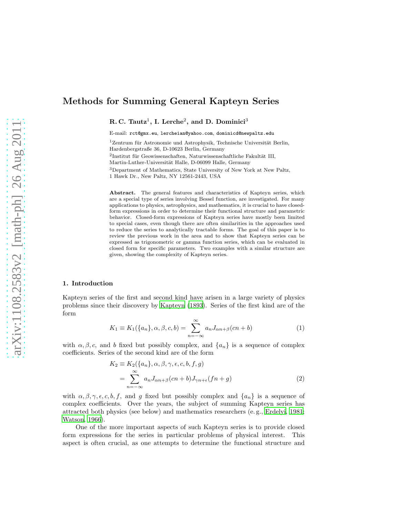# Methods for Summing General Kapteyn Series

R. C. Tautz<sup>1</sup>, I. Lerche<sup>2</sup>, and D. Dominici<sup>3</sup>

E-mail: rct@gmx.eu, lercheian@yahoo.com, dominicd@newpaltz.edu

 $1$ Zentrum für Astronomie und Astrophysik, Technische Universität Berlin, Hardenbergstraße 36, D-10623 Berlin, Germany  ${}^{2}$ Institut für Geowissenschaften, Naturwissenschaftliche Fakultät III, Martin-Luther-Universität Halle, D-06099 Halle, Germany <sup>3</sup>Department of Mathematics, State University of New York at New Paltz, 1 Hawk Dr., New Paltz, NY 12561-2443, USA

Abstract. The general features and characteristics of Kapteyn series, which are a special type of series involving Bessel function, are investigated. For many applications to physics, astrophysics, and mathematics, it is crucial to have closedform expressions in order to determine their functional structure and parametric behavior. Closed-form expressions of Kapteyn series have mostly been limited to special cases, even though there are often similarities in the approaches used to reduce the series to analytically tractable forms. The goal of this paper is to review the previous work in the area and to show that Kapteyn series can be expressed as trigonometric or gamma function series, which can be evaluated in closed form for specific parameters. Two examples with a similar structure are given, showing the complexity of Kapteyn series.

# <span id="page-0-1"></span>1. Introduction

Kapteyn series of the first and second kind have arisen in a large variety of physics problems since their discovery by [Kapteyn \(1893\)](#page-13-0). Series of the first kind are of the form

$$
K_1 \equiv K_1(\{a_n\}, \alpha, \beta, c, b) = \sum_{n=-\infty}^{\infty} a_n J_{\alpha n + \beta}(cn + b)
$$
 (1)

with  $\alpha, \beta, c$ , and b fixed but possibly complex, and  $\{a_n\}$  is a sequence of complex coefficients. Series of the second kind are of the form

<span id="page-0-0"></span>
$$
K_2 \equiv K_2(\{a_n\}, \alpha, \beta, \gamma, \epsilon, c, b, f, g)
$$
  
= 
$$
\sum_{n=-\infty}^{\infty} a_n J_{\alpha n+\beta}(cn+b) J_{\gamma n+\epsilon}(fn+g)
$$
 (2)

with  $\alpha, \beta, \gamma, \epsilon, c, b, f$ , and g fixed but possibly complex and  $\{a_n\}$  is a sequence of complex coefficients. Over the years, the subject of summing Kapteyn series has attracted both physics (see below) and mathematics researchers (e. g., [Erdelyi, 1981;](#page-13-1) [Watson, 1966\)](#page-13-2).

One of the more important aspects of such Kapteyn series is to provide closed form expressions for the series in particular problems of physical interest. This aspect is often crucial, as one attempts to determine the functional structure and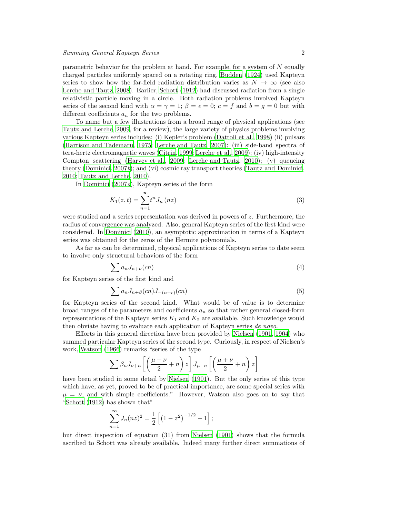parametric behavior for the problem at hand. For example, for a system of N equally charged particles uniformly spaced on a rotating ring, [Budden \(1924\)](#page-13-3) used Kapteyn series to show how the far-field radiation distribution varies as  $N \to \infty$  (see also [Lerche and Tautz](#page-13-4), [2008](#page-13-4)). Earlier, [Schott \(1912\)](#page-13-5) had discussed radiation from a single relativistic particle moving in a circle. Both radiation problems involved Kapteyn series of the second kind with  $\alpha = \gamma = 1$ ;  $\beta = \epsilon = 0$ ;  $c = f$  and  $b = g = 0$  but with different coefficients  $a_n$  for the two problems.

To name but a few illustrations from a broad range of physical applications (see [Tautz and Lerche, 2009](#page-13-6), for a review), the large variety of physics problems involving various Kapteyn series includes: (i) Kepler's problem [\(Dattoli et al., 1998](#page-13-7)) (ii) pulsars [\(Harrison and Tademaru](#page-13-8), [1975;](#page-13-8) [Lerche and Tautz, 2007](#page-13-9)); (iii) side-band spectra of tera-hertz electromagnetic waves [\(Citrin](#page-13-10), [1999;](#page-13-10) [Lerche et al., 2009](#page-13-11)); (iv) high-intensity Compton scattering [\(Harvey et al., 2009;](#page-13-12) [Lerche and Tautz, 2010\)](#page-13-13); (v) queueing theory [\(Dominici](#page-13-14), [2007](#page-13-14)b); and (vi) cosmic ray transport theories [\(Tautz and Dominici,](#page-13-15) [2010;](#page-13-15) [Tautz and Lerche, 2010\)](#page-13-16).

In [Dominici \(2007](#page-13-17)a), Kapteyn series of the form

$$
K_1(z,t) = \sum_{n=1}^{\infty} t^n J_n(nz)
$$
\n
$$
(3)
$$

were studied and a series representation was derived in powers of z. Furthermore, the radius of convergence was analyzed. Also, general Kapteyn series of the first kind were considered. In [Dominici \(2010\)](#page-13-18), an asymptotic approximation in terms of a Kapteyn series was obtained for the zeros of the Hermite polynomials.

As far as can be determined, physical applications of Kapteyn series to date seem to involve only structural behaviors of the form

$$
\sum a_n J_{n+\nu}(cn) \tag{4}
$$

for Kapteyn series of the first kind and

$$
\sum a_n J_{n+\beta}(cn) J_{-(n+\epsilon)}(cn) \tag{5}
$$

for Kapteyn series of the second kind. What would be of value is to determine broad ranges of the parameters and coefficients  $a_n$  so that rather general closed-form representations of the Kapteyn series  $K_1$  and  $K_2$  are available. Such knowledge would then obviate having to evaluate each application of Kapteyn series de novo.

Efforts in this general direction have been provided by [Nielsen \(1901,](#page-13-19) [1904\)](#page-13-20) who summed particular Kapteyn series of the second type. Curiously, in respect of Nielsen's work, [Watson \(1966\)](#page-13-2) remarks "series of the type

$$
\sum \beta_n J_{\nu+n} \left[ \left( \frac{\mu+\nu}{2} + n \right) z \right] J_{\mu+n} \left[ \left( \frac{\mu+\nu}{2} + n \right) z \right]
$$

have been studied in some detail by [Nielsen \(1901\)](#page-13-19). But the only series of this type which have, as yet, proved to be of practical importance, are some special series with  $\mu = \nu$ , and with simple coefficients." However, Watson also goes on to say that ["Schott \(1912\)](#page-13-5) has shown that"

$$
\sum_{n=1}^{\infty} J_n(nz)^2 = \frac{1}{2} \left[ \left( 1 - z^2 \right)^{-1/2} - 1 \right];
$$

but direct inspection of equation (31) from [Nielsen \(1901](#page-13-19)) shows that the formula ascribed to Schott was already available. Indeed many further direct summations of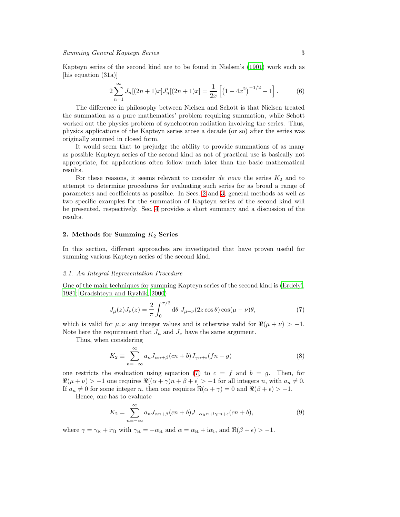Kapteyn series of the second kind are to be found in Nielsen's [\(1901\)](#page-13-19) work such as [his equation (31a)]

$$
2\sum_{n=1}^{\infty} J_n[(2n+1)x]J'_n[(2n+1)x] = \frac{1}{2x} \left[ \left(1 - 4x^2\right)^{-1/2} - 1 \right].
$$
 (6)

The difference in philosophy between Nielsen and Schott is that Nielsen treated the summation as a pure mathematics' problem requiring summation, while Schott worked out the physics problem of synchrotron radiation involving the series. Thus, physics applications of the Kapteyn series arose a decade (or so) after the series was originally summed in closed form.

It would seem that to prejudge the ability to provide summations of as many as possible Kapteyn series of the second kind as not of practical use is basically not appropriate, for applications often follow much later than the basic mathematical results.

For these reasons, it seems relevant to consider de novo the series  $K_2$  and to attempt to determine procedures for evaluating such series for as broad a range of parameters and coefficients as possible. In Secs. [2](#page-2-0) and [3,](#page-8-0) general methods as well as two specific examples for the summation of Kapteyn series of the second kind will be presented, respectively. Sec. [4](#page-12-0) provides a short summary and a discussion of the results.

# <span id="page-2-0"></span>2. Methods for Summing  $K_2$  Series

In this section, different approaches are investigated that have proven useful for summing various Kapteyn series of the second kind.

#### 2.1. An Integral Representation Procedure

One of the main techniques for summing Kapteyn series of the second kind is [\(Erdelyi,](#page-13-1) [1981;](#page-13-1) [Gradshteyn and Ryzhik, 2000\)](#page-13-21)

<span id="page-2-1"></span>
$$
J_{\mu}(z)J_{\nu}(z) = \frac{2}{\pi} \int_0^{\pi/2} d\theta \ J_{\mu+\nu}(2z\cos\theta)\cos(\mu-\nu)\theta,
$$
 (7)

which is valid for  $\mu, \nu$  any integer values and is otherwise valid for  $\Re(\mu + \nu) > -1$ . Note here the requirement that  $J_{\mu}$  and  $J_{\nu}$  have the same argument.

Thus, when considering

$$
K_2 \equiv \sum_{n=-\infty}^{\infty} a_n J_{\alpha n+\beta} (cn+b) J_{\gamma n+\epsilon} (fn+g)
$$
 (8)

one restricts the evaluation using equation [\(7\)](#page-2-1) to  $c = f$  and  $b = g$ . Then, for  $\Re(\mu + \nu) > -1$  one requires  $\Re[(\alpha + \gamma)n + \beta + \epsilon] > -1$  for all integers n, with  $a_n \neq 0$ . If  $a_n \neq 0$  for some integer n, then one requires  $\Re(\alpha + \gamma) = 0$  and  $\Re(\beta + \epsilon) > -1$ .

Hence, one has to evaluate

$$
K_2 = \sum_{n=-\infty}^{\infty} a_n J_{\alpha n + \beta} (cn + b) J_{-\alpha \mathbf{R}^n + \mathbf{i} \gamma_1 n + \epsilon} (cn + b), \tag{9}
$$

where  $\gamma = \gamma_R + i\gamma_I$  with  $\gamma_R = -\alpha_R$  and  $\alpha = \alpha_R + i\alpha_I$ , and  $\Re(\beta + \epsilon) > -1$ .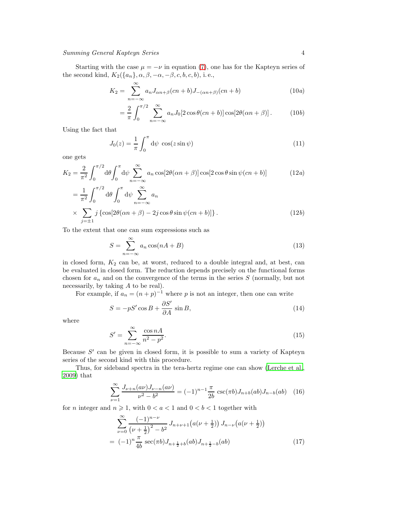Starting with the case  $\mu = -\nu$  in equation [\(7\)](#page-2-1), one has for the Kapteyn series of the second kind,  $K_2({a_n}, \alpha, \beta, -\alpha, -\beta, c, b, c, b)$ , i.e.,

$$
K_2 = \sum_{n=-\infty}^{\infty} a_n J_{\alpha n + \beta}(cn + b) J_{-(\alpha n + \beta)}(cn + b)
$$
 (10*a*)

$$
= \frac{2}{\pi} \int_0^{\pi/2} \sum_{n=-\infty}^{\infty} a_n J_0[2\cos\theta(cn+b)]\cos[2\theta(\alpha n+\beta)].
$$
 (10*b*)

Using the fact that

$$
J_0(z) = \frac{1}{\pi} \int_0^{\pi} d\psi \, \cos(z \sin \psi) \tag{11}
$$

one gets

$$
K_2 = \frac{2}{\pi^2} \int_0^{\pi/2} d\theta \int_0^{\pi} d\psi \sum_{n=-\infty}^{\infty} a_n \cos[2\theta(\alpha n + \beta)] \cos[2\cos\theta \sin\psi(c n + b)] \tag{12a}
$$

$$
= \frac{1}{\pi^2} \int_0^{\pi/2} d\theta \int_0^{\pi} d\psi \sum_{n=-\infty}^{\infty} a_n
$$
  
 
$$
\times \sum_{j=\pm 1} j \left\{ \cos[2\theta(\alpha n + \beta) - 2j \cos \theta \sin \psi (cn + b)] \right\}.
$$
 (12b)

To the extent that one can sum expressions such as

$$
S = \sum_{n = -\infty}^{\infty} a_n \cos(nA + B)
$$
 (13)

in closed form,  $K_2$  can be, at worst, reduced to a double integral and, at best, can be evaluated in closed form. The reduction depends precisely on the functional forms chosen for  $a_n$  and on the convergence of the terms in the series  $S$  (normally, but not necessarily, by taking A to be real).

For example, if  $a_n = (n+p)^{-1}$  where p is not an integer, then one can write

$$
S = -pS'\cos B + \frac{\partial S'}{\partial A}\sin B,\tag{14}
$$

where

$$
S' = \sum_{n = -\infty}^{\infty} \frac{\cos nA}{n^2 - p^2}.
$$
\n(15)

Because S' can be given in closed form, it is possible to sum a variety of Kapteyn series of the second kind with this procedure.

Thus, for sideband spectra in the tera-hertz regime one can show [\(Lerche et al.,](#page-13-11) [2009\)](#page-13-11) that

$$
\sum_{\nu=1}^{\infty} \frac{J_{\nu+n}(a\nu)J_{\nu-n}(a\nu)}{\nu^2 - b^2} = (-1)^{n-1} \frac{\pi}{2b} \csc(\pi b)J_{n+b}(ab)J_{n-b}(ab) \quad (16)
$$

for *n* integer and  $n \ge 1$ , with  $0 < a < 1$  and  $0 < b < 1$  together with

$$
\sum_{\nu=0}^{\infty} \frac{(-1)^{n-\nu}}{(\nu+\frac{1}{2})^2 - b^2} J_{n+\nu+1}(a(\nu+\frac{1}{2})) J_{n-\nu}(a(\nu+\frac{1}{2}))
$$
  
=  $(-1)^n \frac{\pi}{4b} \sec(\pi b) J_{n+\frac{1}{2}+b}(ab) J_{n+\frac{1}{2}-b}(ab)$  (17)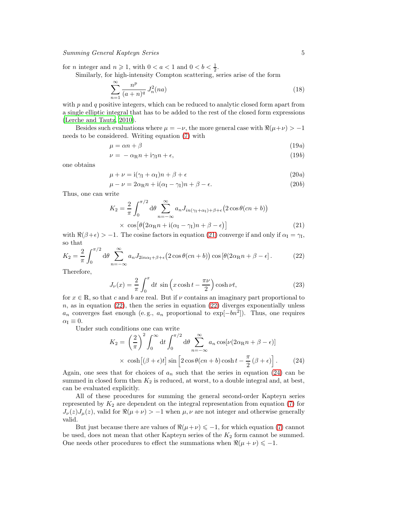for *n* integer and  $n \ge 1$ , with  $0 < a < 1$  and  $0 < b < \frac{1}{2}$ .

Similarly, for high-intensity Compton scattering, series arise of the form

$$
\sum_{n=1}^{\infty} \frac{n^p}{(a+n)^q} J_n^2(na) \tag{18}
$$

with  $p$  and  $q$  positive integers, which can be reduced to analytic closed form apart from a single elliptic integral that has to be added to the rest of the closed form expressions [\(Lerche and Tautz](#page-13-13), [2010\)](#page-13-13).

Besides such evaluations where  $\mu = -\nu$ , the more general case with  $\Re(\mu + \nu) > -1$ needs to be considered. Writing equation [\(7\)](#page-2-1) with

$$
\mu = \alpha n + \beta \tag{19a}
$$

$$
\nu = -\alpha_{\rm R} n + i\gamma_{\rm I} n + \epsilon, \qquad (19b)
$$

one obtains

$$
\mu + \nu = i(\gamma_I + \alpha_I)n + \beta + \epsilon \tag{20a}
$$

$$
\mu - \nu = 2\alpha_{\mathbb{R}}n + i(\alpha_{\mathbb{I}} - \gamma_{\mathbb{I}})n + \beta - \epsilon.
$$
 (20*b*)

Thus, one can write

<span id="page-4-0"></span>
$$
K_2 = \frac{2}{\pi} \int_0^{\pi/2} d\theta \sum_{n=-\infty}^{\infty} a_n J_{in(\gamma_1 + \alpha_1) + \beta + \epsilon} (2 \cos \theta (cn + b))
$$
  
 
$$
\times \cos [\theta (2\alpha_{\rm R} n + i(\alpha_{\rm I} - \gamma_{\rm I}) n + \beta - \epsilon)]
$$
 (21)

with  $\Re(\beta + \epsilon) > -1$ . The cosine factors in equation [\(21\)](#page-4-0) converge if and only if  $\alpha_I = \gamma_I$ , so that

$$
K_2 = \frac{2}{\pi} \int_0^{\pi/2} d\theta \sum_{n=-\infty}^{\infty} a_n J_{2in\alpha_1 + \beta + \epsilon} (2 \cos \theta (cn + b)) \cos [\theta (2\alpha_{\rm R} n + \beta - \epsilon]. \tag{22}
$$

Therefore,

<span id="page-4-1"></span>
$$
J_{\nu}(x) = \frac{2}{\pi} \int_0^x dt \, \sin\left(x \cosh t - \frac{\pi \nu}{2}\right) \cosh \nu t,\tag{23}
$$

for  $x \in \mathbb{R}$ , so that c and b are real. But if  $\nu$  contains an imaginary part proportional to  $n$ , as in equation [\(22\)](#page-4-1), then the series in equation (22) diverges exponentially unless  $a_n$  converges fast enough (e.g.,  $a_n$  proportional to  $\exp[-bn^2]$ ). Thus, one requires  $\alpha_{\rm I} \equiv 0.$ 

Under such conditions one can write

<span id="page-4-2"></span>
$$
K_2 = \left(\frac{2}{\pi}\right)^2 \int_0^\infty dt \int_0^{\pi/2} d\theta \sum_{n=-\infty}^\infty a_n \cos[\nu(2\alpha_R n + \beta - \epsilon)]
$$
  
 
$$
\times \cosh[(\beta + \epsilon)t] \sin\left[2\cos\theta(cn + b)\cosh t - \frac{\pi}{2}(\beta + \epsilon)\right].
$$
 (24)

Again, one sees that for choices of  $a_n$  such that the series in equation [\(24\)](#page-4-2) can be summed in closed form then  $K_2$  is reduced, at worst, to a double integral and, at best, can be evaluated explicitly.

All of these procedures for summing the general second-order Kapteyn series represented by  $K_2$  are dependent on the integral representation from equation [\(7\)](#page-2-1) for  $J_{\nu}(z)J_{\mu}(z)$ , valid for  $\Re(\mu+\nu) > -1$  when  $\mu,\nu$  are not integer and otherwise generally valid.

But just because there are values of  $\Re(\mu+\nu) \leq -1$ , for which equation [\(7\)](#page-2-1) cannot be used, does not mean that other Kapteyn series of the  $K_2$  form cannot be summed. One needs other procedures to effect the summations when  $\Re(\mu + \nu) \le -1$ .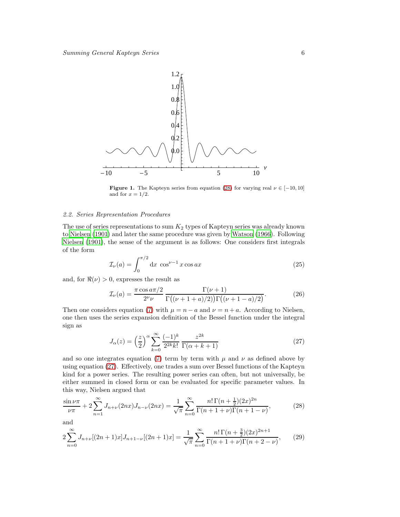

<span id="page-5-3"></span>**Figure 1.** The Kapteyn series from equation [\(28\)](#page-5-0) for varying real  $\nu \in [-10, 10]$ and for  $x = 1/2$ .

#### 2.2. Series Representation Procedures

The use of series representations to sum  $K_2$  types of Kapteyn series was already known to [Nielsen \(1901\)](#page-13-19) and later the same procedure was given by [Watson](#page-13-2) [\(1966](#page-13-2)). Following [Nielsen \(1901\)](#page-13-19), the sense of the argument is as follows: One considers first integrals of the form

$$
\mathcal{I}_{\nu}(a) = \int_0^{\pi/2} dx \cos^{\nu-1} x \cos ax \tag{25}
$$

and, for  $\Re(\nu) > 0$ , expresses the result as

$$
\mathcal{I}_{\nu}(a) = \frac{\pi \cos a \pi/2}{2^{\nu} \nu} \frac{\Gamma(\nu+1)}{\Gamma((\nu+1+a)/2)\Gamma((\nu+1-a)/2)}.
$$
 (26)

Then one considers equation [\(7\)](#page-2-1) with  $\mu = n - a$  and  $\nu = n + a$ . According to Nielsen, one then uses the series expansion definition of the Bessel function under the integral sign as

<span id="page-5-1"></span>
$$
J_{\alpha}(z) = \left(\frac{z}{2}\right)^{\alpha} \sum_{k=0}^{\infty} \frac{(-1)^k}{2^{2k}k!} \frac{z^{2k}}{\Gamma(\alpha+k+1)}
$$
(27)

and so one integrates equation [\(7\)](#page-2-1) term by term with  $\mu$  and  $\nu$  as defined above by using equation [\(27\)](#page-5-1). Effectively, one trades a sum over Bessel functions of the Kapteyn kind for a power series. The resulting power series can often, but not universally, be either summed in closed form or can be evaluated for specific parameter values. In this way, Nielsen argued that

<span id="page-5-0"></span>
$$
\frac{\sin \nu \pi}{\nu \pi} + 2 \sum_{n=1}^{\infty} J_{n+\nu}(2nx) J_{n-\nu}(2nx) = \frac{1}{\sqrt{\pi}} \sum_{n=0}^{\infty} \frac{n! \Gamma(n+\frac{1}{2})(2x)^{2n}}{\Gamma(n+1+\nu)\Gamma(n+1-\nu)},
$$
(28)

and

<span id="page-5-2"></span>
$$
2\sum_{n=0}^{\infty} J_{n+\nu}[(2n+1)x]J_{n+1-\nu}[(2n+1)x] = \frac{1}{\sqrt{\pi}}\sum_{n=0}^{\infty} \frac{n!\,\Gamma(n+\frac{3}{2})(2x)^{2n+1}}{\Gamma(n+1+\nu)\Gamma(n+2-\nu)},\tag{29}
$$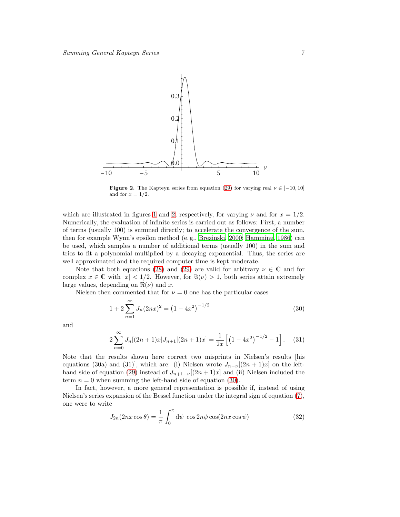

<span id="page-6-0"></span>**Figure 2.** The Kapteyn series from equation [\(29\)](#page-5-2) for varying real  $\nu \in [-10, 10]$ and for  $x = 1/2$ .

which are illustrated in figures [1](#page-5-3) and [2,](#page-6-0) respectively, for varying  $\nu$  and for  $x = 1/2$ . Numerically, the evaluation of infinite series is carried out as follows: First, a number of terms (usually 100) is summed directly; to accelerate the convergence of the sum, then for example Wynn's epsilon method (e. g., [Brezinski, 2000;](#page-13-22) [Hamming, 1986\)](#page-13-23) can be used, which samples a number of additional terms (usually 100) in the sum and tries to fit a polynomial multiplied by a decaying exponential. Thus, the series are well approximated and the required computer time is kept moderate.

Note that both equations [\(28\)](#page-5-0) and [\(29\)](#page-5-2) are valid for arbitrary  $\nu \in \mathbb{C}$  and for complex  $x \in \mathbb{C}$  with  $|x| < 1/2$ . However, for  $\Im(\nu) > 1$ , both series attain extremely large values, depending on  $\Re(\nu)$  and x.

Nielsen then commented that for  $\nu = 0$  one has the particular cases

<span id="page-6-1"></span>
$$
1 + 2\sum_{n=1}^{\infty} J_n(2nx)^2 = (1 - 4x^2)^{-1/2}
$$
\n(30)

and

$$
2\sum_{n=0}^{\infty} J_n[(2n+1)x]J_{n+1}[(2n+1)x] = \frac{1}{2x} \left[ \left(1 - 4x^2\right)^{-1/2} - 1 \right].
$$
 (31)

Note that the results shown here correct two misprints in Nielsen's results [his equations (30a) and (31)], which are: (i) Nielsen wrote  $J_{n-\nu}[(2n+1)x]$  on the left-hand side of equation [\(29\)](#page-5-2) instead of  $J_{n+1-\nu}[(2n+1)x]$  and (ii) Nielsen included the term  $n = 0$  when summing the left-hand side of equation [\(30\)](#page-6-1).

In fact, however, a more general representation is possible if, instead of using Nielsen's series expansion of the Bessel function under the integral sign of equation [\(7\)](#page-2-1), one were to write

$$
J_{2n}(2nx\cos\theta) = \frac{1}{\pi} \int_0^{\pi} d\psi \, \cos 2n\psi \cos(2nx\cos\psi)
$$
 (32)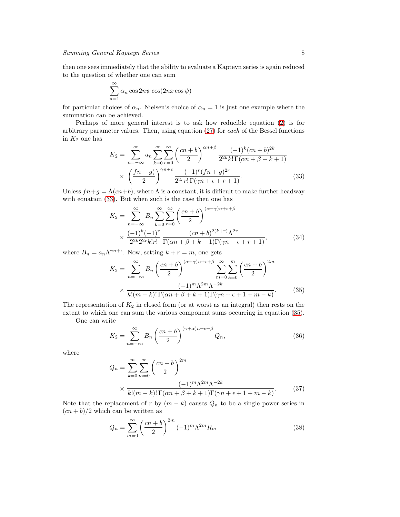then one sees immediately that the ability to evaluate a Kapteyn series is again reduced to the question of whether one can sum

$$
\sum_{n=1}^{\infty} \alpha_n \cos 2n\psi \cos(2nx \cos \psi)
$$

for particular choices of  $\alpha_n$ . Nielsen's choice of  $\alpha_n = 1$  is just one example where the summation can be achieved.

Perhaps of more general interest is to ask how reducible equation [\(2\)](#page-0-0) is for arbitrary parameter values. Then, using equation [\(27\)](#page-5-1) for each of the Bessel functions in  $K_2$  one has

<span id="page-7-0"></span>
$$
K_2 = \sum_{n=-\infty}^{\infty} a_n \sum_{k=0}^{\infty} \sum_{r=0}^{\infty} \left(\frac{cn+b}{2}\right)^{\alpha n+\beta} \frac{(-1)^k (cn+b)^{2k}}{2^{2k} k! \Gamma(\alpha n + \beta + k + 1)}
$$

$$
\times \left(\frac{fn+g}{2}\right)^{\gamma n+\epsilon} \frac{(-1)^r (fn+g)^{2r}}{2^{2r} r! \Gamma(\gamma n + \epsilon + r + 1)}.
$$
(33)

Unless  $fn+g = \Lambda(cn+b)$ , where  $\Lambda$  is a constant, it is difficult to make further headway with equation [\(33\)](#page-7-0). But when such is the case then one has

$$
K_2 = \sum_{n=-\infty}^{\infty} B_n \sum_{k=0}^{\infty} \sum_{r=0}^{\infty} \left(\frac{cn+b}{2}\right)^{(\alpha+\gamma)n+\epsilon+\beta}
$$
  
 
$$
\times \frac{(-1)^k (-1)^r}{2^{2k} 2^{2r} k! r!} \frac{(cn+b)^{2(k+r)} \Lambda^{2r}}{\Gamma(\alpha n + \beta + k + 1) \Gamma(\gamma n + \epsilon + r + 1)},
$$
(34)

where  $B_n = a_n \Lambda^{\gamma n + \epsilon}$ . Now, setting  $k + r = m$ , one gets

<span id="page-7-1"></span>
$$
K_2 = \sum_{n=-\infty}^{\infty} B_n \left(\frac{cn+b}{2}\right)^{(\alpha+\gamma)n+\epsilon+\beta} \sum_{m=0}^{\infty} \sum_{k=0}^{m} \left(\frac{cn+b}{2}\right)^{2m}
$$

$$
\times \frac{(-1)^m \Lambda^{2m} \Lambda^{-2k}}{k!(m-k)!\Gamma(\alpha n+\beta+k+1)\Gamma(\gamma n+\epsilon+1+m-k)}.
$$
(35)

The representation of  $K_2$  in closed form (or at worst as an integral) then rests on the extent to which one can sum the various component sums occurring in equation [\(35\)](#page-7-1).

One can write

$$
K_2 = \sum_{n=-\infty}^{\infty} B_n \left(\frac{cn+b}{2}\right)^{(\gamma+\alpha)n+\epsilon+\beta} Q_n,
$$
\n(36)

where

$$
Q_n = \sum_{k=0}^{m} \sum_{m=0}^{\infty} \left(\frac{cn+b}{2}\right)^{2m}
$$
  
 
$$
\times \frac{(-1)^m \Lambda^{2m} \Lambda^{-2k}}{k!(m-k)!\Gamma(\alpha n + \beta + k + 1)\Gamma(\gamma n + \epsilon + 1 + m - k)}.
$$
 (37)

Note that the replacement of r by  $(m - k)$  causes  $Q_n$  to be a single power series in  $\frac{(cn + b)}{2}$  which can be written as

$$
Q_n = \sum_{m=0}^{\infty} \left(\frac{cn+b}{2}\right)^{2m} (-1)^m \Lambda^{2m} R_m \tag{38}
$$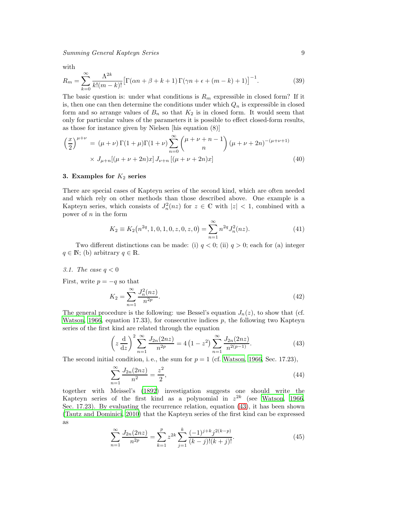with

$$
R_m = \sum_{k=0}^{\infty} \frac{\Lambda^{2k}}{k!(m-k)!} \left[ \Gamma(\alpha n + \beta + k + 1) \Gamma(\gamma n + \epsilon + (m-k) + 1) \right]^{-1}.
$$
 (39)

The basic question is: under what conditions is  $R_m$  expressible in closed form? If it is, then one can then determine the conditions under which  $Q_n$  is expressible in closed form and so arrange values of  $B_n$  so that  $K_2$  is in closed form. It would seem that only for particular values of the parameters it is possible to effect closed-form results, as those for instance given by Nielsen [his equation (8)]

$$
\left(\frac{x}{2}\right)^{\mu+\nu} = (\mu+\nu)\Gamma(1+\mu)\Gamma(1+\nu)\sum_{n=0}^{\infty} {\mu+\nu+n-1 \choose n} (\mu+\nu+2n)^{-(\mu+\nu+1)} \times J_{\mu+n}[(\mu+\nu+2n)x] J_{\nu+n}[(\mu+\nu+2n)x]
$$
\n(40)

# <span id="page-8-0"></span>3. Examples for  $K_2$  series

There are special cases of Kapteyn series of the second kind, which are often needed and which rely on other methods than those described above. One example is a Kapteyn series, which consists of  $J_n^2(nz)$  for  $z \in \mathbb{C}$  with  $|z| < 1$ , combined with a power of  $n$  in the form

<span id="page-8-2"></span>
$$
K_2 \equiv K_2(n^{2q}, 1, 0, 1, 0, z, 0, z, 0) = \sum_{n=1}^{\infty} n^{2q} J_n^2(nz).
$$
 (41)

Two different distinctions can be made: (i)  $q < 0$ ; (ii)  $q > 0$ ; each for (a) integer  $q \in \mathbb{N}$ ; (b) arbitrary  $q \in \mathbb{R}$ .

3.1. The case  $q < 0$ 

First, write  $p = -q$  so that

$$
K_2 = \sum_{n=1}^{\infty} \frac{J_n^2(nz)}{n^{2p}}.
$$
\n(42)

The general procedure is the following: use Bessel's equation  $J_n(z)$ , to show that (cf. [Watson, 1966](#page-13-2), equation 17.33), for consecutive indices  $p$ , the following two Kapteyn series of the first kind are related through the equation

<span id="page-8-1"></span>
$$
\left(z\frac{d}{dz}\right)^2 \sum_{n=1}^{\infty} \frac{J_{2n}(2nz)}{n^{2p}} = 4\left(1-z^2\right) \sum_{n=1}^{\infty} \frac{J_{2n}(2nz)}{n^{2(p-1)}}.
$$
 (43)

The second initial condition, i.e., the sum for  $p = 1$  (cf. [Watson, 1966,](#page-13-2) Sec. 17.23),

$$
\sum_{n=1}^{\infty} \frac{J_{2n}(2nz)}{n^2} = \frac{z^2}{2},\tag{44}
$$

together with Meissel's [\(1892\)](#page-13-24) investigation suggests one should write the Kapteyn series of the first kind as a polynomial in  $z^{2k}$  (see [Watson, 1966,](#page-13-2) Sec. 17.23). By evaluating the recurrence relation, equation [\(43\)](#page-8-1), it has been shown [\(Tautz and Dominici, 2010\)](#page-13-15) that the Kapteyn series of the first kind can be expressed as

<span id="page-8-3"></span>
$$
\sum_{n=1}^{\infty} \frac{J_{2n}(2nz)}{n^{2p}} = \sum_{k=1}^{p} z^{2k} \sum_{j=1}^{k} \frac{(-1)^{j+k} j^{2(k-p)}}{(k-j)!(k+j)!}.
$$
(45)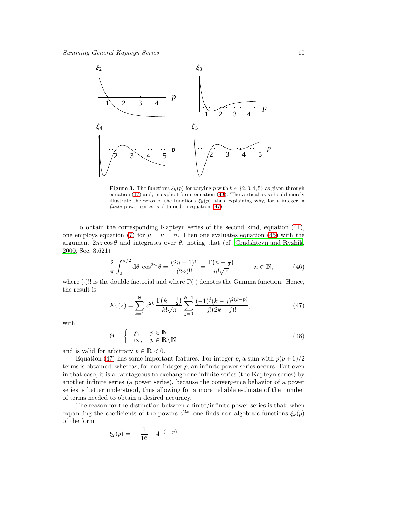

<span id="page-9-2"></span>**Figure 3.** The functions  $\xi_k(p)$  for varying p with  $k \in \{2, 3, 4, 5\}$  as given through equation [\(47\)](#page-9-0) and, in explicit form, equation [\(49\)](#page-9-1). The vertical axis should merely illustrate the zeros of the functions  $\xi_k(p)$ , thus explaining why, for p integer, a *finite* power series is obtained in equation [\(47\)](#page-9-0).

To obtain the corresponding Kapteyn series of the second kind, equation [\(41\)](#page-8-2), one employs equation [\(7\)](#page-2-1) for  $\mu = \nu = n$ . Then one evaluates equation [\(45\)](#page-8-3) with the argument  $2nz\cos\theta$  and integrates over  $\theta$ , noting that (cf. [Gradshteyn and Ryzhik,](#page-13-21) [2000,](#page-13-21) Sec. 3.621)

$$
\frac{2}{\pi} \int_0^{\pi/2} d\theta \cos^{2n} \theta = \frac{(2n-1)!!}{(2n)!!} = \frac{\Gamma(n+\frac{1}{2})}{n!\sqrt{\pi}}, \qquad n \in \mathbb{N},
$$
 (46)

where  $(\cdot)!!$  is the double factorial and where  $\Gamma(\cdot)$  denotes the Gamma function. Hence, the result is

<span id="page-9-0"></span>
$$
K_2(z) = \sum_{k=1}^{\Theta} z^{2k} \frac{\Gamma(k + \frac{1}{2})}{k! \sqrt{\pi}} \sum_{j=0}^{k-1} \frac{(-1)^j (k - j)^{2(k - p)}}{j! (2k - j)!},
$$
(47)

with

$$
\Theta = \begin{cases} p, & p \in \mathbb{N} \\ \infty, & p \in \mathbb{R} \setminus \mathbb{N} \end{cases}
$$
 (48)

and is valid for arbitrary  $p \in \mathbb{R} < 0$ .

Equation [\(47\)](#page-9-0) has some important features. For integer p, a sum with  $p(p+1)/2$ terms is obtained, whereas, for non-integer  $p$ , an infinite power series occurs. But even in that case, it is advantageous to exchange one infinite series (the Kapteyn series) by another infinite series (a power series), because the convergence behavior of a power series is better understood, thus allowing for a more reliable estimate of the number of terms needed to obtain a desired accuracy.

The reason for the distinction between a finite/infinite power series is that, when expanding the coefficients of the powers  $z^{2k}$ , one finds non-algebraic functions  $\xi_k(p)$ of the form

<span id="page-9-1"></span>
$$
\xi_2(p) = -\frac{1}{16} + 4^{-(1+p)}
$$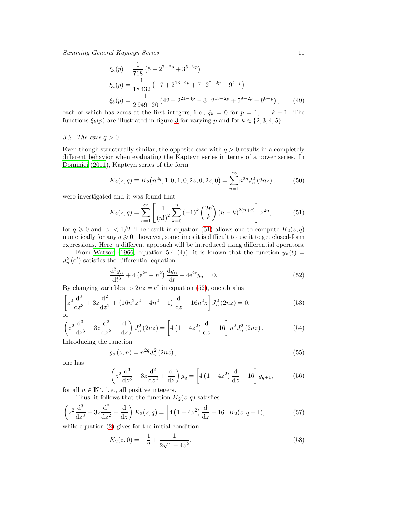$$
\xi_3(p) = \frac{1}{768} \left( 5 - 2^{7-2p} + 3^{5-2p} \right)
$$
  
\n
$$
\xi_4(p) = \frac{1}{18432} \left( -7 + 2^{13-4p} + 7 \cdot 2^{7-2p} - 9^{4-p} \right)
$$
  
\n
$$
\xi_5(p) = \frac{1}{2949120} \left( 42 - 2^{21-4p} - 3 \cdot 2^{13-2p} + 5^{9-2p} + 9^{6-p} \right), \qquad (49)
$$

each of which has zeros at the first integers, i.e.,  $\xi_k = 0$  for  $p = 1, ..., k - 1$ . The functions  $\xi_k(p)$  are illustrated in figure [3](#page-9-2) for varying p and for  $k \in \{2, 3, 4, 5\}.$ 

# 3.2. The case  $q > 0$

Even though structurally similar, the opposite case with  $q > 0$  results in a completely different behavior when evaluating the Kapteyn series in terms of a power series. In [Dominici \(2011](#page-13-25)), Kapteyn series of the form

$$
K_2(z,q) \equiv K_2(n^{2q}, 1, 0, 1, 0, 2z, 0, 2z, 0) = \sum_{n=1}^{\infty} n^{2q} J_n^2(2nz), \qquad (50)
$$

were investigated and it was found that

<span id="page-10-0"></span>
$$
K_2(z,q) = \sum_{n=1}^{\infty} \left[ \frac{1}{(n!)^2} \sum_{k=0}^n (-1)^k {2n \choose k} (n-k)^{2(n+q)} \right] z^{2n},
$$
(51)

for  $q \ge 0$  and  $|z| < 1/2$ . The result in equation [\(51\)](#page-10-0) allows one to compute  $K_2(z,q)$ numerically for any  $q \geq 0$ ; however, sometimes it is difficult to use it to get closed-form expressions. Here, a different approach will be introduced using differential operators.

From [Watson \(1966,](#page-13-2) equation 5.4 (4)), it is known that the function  $y_n(t)$  =  $J_n^2(e^t)$  satisfies the differential equation

<span id="page-10-1"></span>
$$
\frac{d^3 y_n}{dt^3} + 4\left(e^{2t} - n^2\right)\frac{dy_n}{dt} + 4e^{2t}y_n = 0.
$$
\n(52)

By changing variables to  $2nz = e^t$  in equation [\(52\)](#page-10-1), one obtains

$$
\left[z^2 \frac{d^3}{dz^3} + 3z \frac{d^2}{dz^2} + (16n^2z^2 - 4n^2 + 1) \frac{d}{dz} + 16n^2z\right]J_n^2(2nz) = 0,
$$
\nor\n(53)

$$
\left(z^2 \frac{d^3}{dz^3} + 3z \frac{d^2}{dz^2} + \frac{d}{dz}\right) J_n^2(2nz) = \left[4\left(1 - 4z^2\right) \frac{d}{dz} - 16\right] n^2 J_n^2(2nz). \tag{54}
$$

Introducing the function

$$
g_q(z,n) = n^{2q} J_n^2(2nz),
$$
\n(55)

one has

$$
\left(z^2 \frac{d^3}{dz^3} + 3z \frac{d^2}{dz^2} + \frac{d}{dz}\right) g_q = \left[4\left(1 - 4z^2\right) \frac{d}{dz} - 16\right] g_{q+1},\tag{56}
$$

for all  $n \in \mathbb{N}^*$ , i.e., all positive integers.

Thus, it follows that the function  $K_2(z, q)$  satisfies

$$
\left(z^2 \frac{d^3}{dz^3} + 3z \frac{d^2}{dz^2} + \frac{d}{dz}\right) K_2(z, q) = \left[4\left(1 - 4z^2\right) \frac{d}{dz} - 16\right] K_2(z, q+1),\tag{57}
$$

while equation [\(2\)](#page-0-0) gives for the initial condition

<span id="page-10-3"></span><span id="page-10-2"></span>
$$
K_2(z,0) = -\frac{1}{2} + \frac{1}{2\sqrt{1 - 4z^2}}.\tag{58}
$$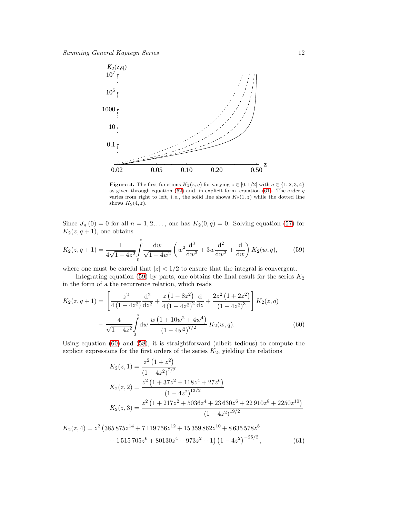

<span id="page-11-3"></span>**Figure 4.** The first functions  $K_2(z,q)$  for varying  $z \in [0,1/2]$  with  $q \in \{1,2,3,4\}$ as given through equation [\(62\)](#page-12-1) and, in explicit form, equation [\(61\)](#page-11-0). The order  $q$ varies from right to left, i.e., the solid line shows  $K_2(1, z)$  while the dotted line shows  $K_2(4, z)$ .

Since  $J_n(0) = 0$  for all  $n = 1, 2, \ldots$ , one has  $K_2(0, q) = 0$ . Solving equation [\(57\)](#page-10-2) for  $K_2(z, q+1)$ , one obtains

<span id="page-11-1"></span>
$$
K_2(z, q+1) = \frac{1}{4\sqrt{1-4z^2}} \int_0^z \frac{dw}{\sqrt{1-4w^2}} \left( w^2 \frac{d^3}{dw^3} + 3w \frac{d^2}{dw^2} + \frac{d}{dw} \right) K_2(w, q), \tag{59}
$$

where one must be careful that  $|z| < 1/2$  to ensure that the integral is convergent.

Integrating equation [\(59\)](#page-11-1) by parts, one obtains the final result for the series  $K_2$ in the form of a the recurrence relation, which reads

<span id="page-11-2"></span>
$$
K_2(z,q+1) = \left[ \frac{z^2}{4(1-4z^2)} \frac{d^2}{dz^2} + \frac{z(1-8z^2)}{4(1-4z^2)^2} \frac{d}{dz} + \frac{2z^2(1+2z^2)}{(1-4z^2)^3} \right] K_2(z,q)
$$

$$
- \frac{4}{\sqrt{1-4z^2}} \int_0^z dw \, \frac{w(1+10w^2+4w^4)}{(1-4w^2)^{7/2}} K_2(w,q). \tag{60}
$$

Using equation [\(60\)](#page-11-2) and [\(58\)](#page-10-3), it is straightforward (albeit tedious) to compute the explicit expressions for the first orders of the series  $K_2$ , yielding the relations

$$
K_2(z, 1) = \frac{z^2 (1 + z^2)}{(1 - 4z^2)^{7/2}}
$$
  
\n
$$
K_2(z, 2) = \frac{z^2 (1 + 37z^2 + 118z^4 + 27z^6)}{(1 - 4z^2)^{13/2}}
$$
  
\n
$$
K_2(z, 3) = \frac{z^2 (1 + 217z^2 + 5036z^4 + 23630z^6 + 22910z^8 + 2250z^{10})}{(1 - 4z^2)^{19/2}}
$$

<span id="page-11-0"></span>
$$
K_2(z,4) = z^2 \left(385\,875z^{14} + 7\,119\,756z^{12} + 15\,359\,862z^{10} + 8\,635\,578z^8\right.\n+ 1\,515\,705z^6 + 80130z^4 + 973z^2 + 1\right)\left(1 - 4z^2\right)^{-25/2},\tag{61}
$$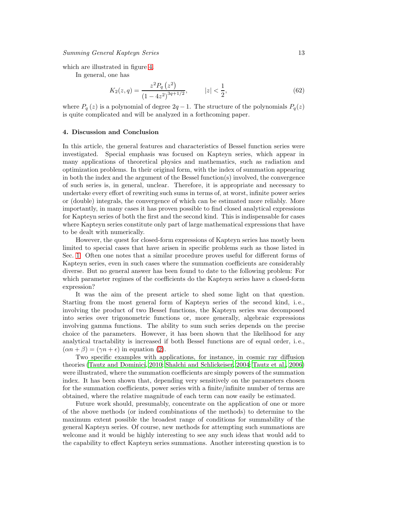which are illustrated in figure [4.](#page-11-3)

In general, one has

<span id="page-12-1"></span>
$$
K_2(z,q) = \frac{z^2 P_q(z^2)}{(1 - 4z^2)^{3q + 1/2}}, \qquad |z| < \frac{1}{2},\tag{62}
$$

where  $P_q(z)$  is a polynomial of degree  $2q-1$ . The structure of the polynomials  $P_q(z)$ is quite complicated and will be analyzed in a forthcoming paper.

## <span id="page-12-0"></span>4. Discussion and Conclusion

In this article, the general features and characteristics of Bessel function series were investigated. Special emphasis was focused on Kapteyn series, which appear in many applications of theoretical physics and mathematics, such as radiation and optimization problems. In their original form, with the index of summation appearing in both the index and the argument of the Bessel function(s) involved, the convergence of such series is, in general, unclear. Therefore, it is appropriate and necessary to undertake every effort of rewriting such sums in terms of, at worst, infinite power series or (double) integrals, the convergence of which can be estimated more reliably. More importantly, in many cases it has proven possible to find closed analytical expressions for Kapteyn series of both the first and the second kind. This is indispensable for cases where Kapteyn series constitute only part of large mathematical expressions that have to be dealt with numerically.

However, the quest for closed-form expressions of Kapteyn series has mostly been limited to special cases that have arisen in specific problems such as those listed in Sec. [1.](#page-0-1) Often one notes that a similar procedure proves useful for different forms of Kapteyn series, even in such cases where the summation coefficients are considerably diverse. But no general answer has been found to date to the following problem: For which parameter regimes of the coefficients do the Kapteyn series have a closed-form expression?

It was the aim of the present article to shed some light on that question. Starting from the most general form of Kapteyn series of the second kind, i. e., involving the product of two Bessel functions, the Kapteyn series was decomposed into series over trigonometric functions or, more generally, algebraic expressions involving gamma functions. The ability to sum such series depends on the precise choice of the parameters. However, it has been shown that the likelihood for any analytical tractability is increased if both Bessel functions are of equal order, i. e.,  $(\alpha n + \beta) = (\gamma n + \epsilon)$  in equation [\(2\)](#page-0-0).

Two specific examples with applications, for instance, in cosmic ray diffusion theories [\(Tautz and Dominici](#page-13-15), [2010](#page-13-15); [Shalchi and Schlickeiser, 2004;](#page-13-26) [Tautz et al., 2006\)](#page-13-27) were illustrated, where the summation coefficients are simply powers of the summation index. It has been shown that, depending very sensitively on the parameters chosen for the summation coefficients, power series with a finite/infinite number of terms are obtained, where the relative magnitude of each term can now easily be estimated.

Future work should, presumably, concentrate on the application of one or more of the above methods (or indeed combinations of the methods) to determine to the maximum extent possible the broadest range of conditions for summability of the general Kapteyn series. Of course, new methods for attempting such summations are welcome and it would be highly interesting to see any such ideas that would add to the capability to effect Kapteyn series summations. Another interesting question is to